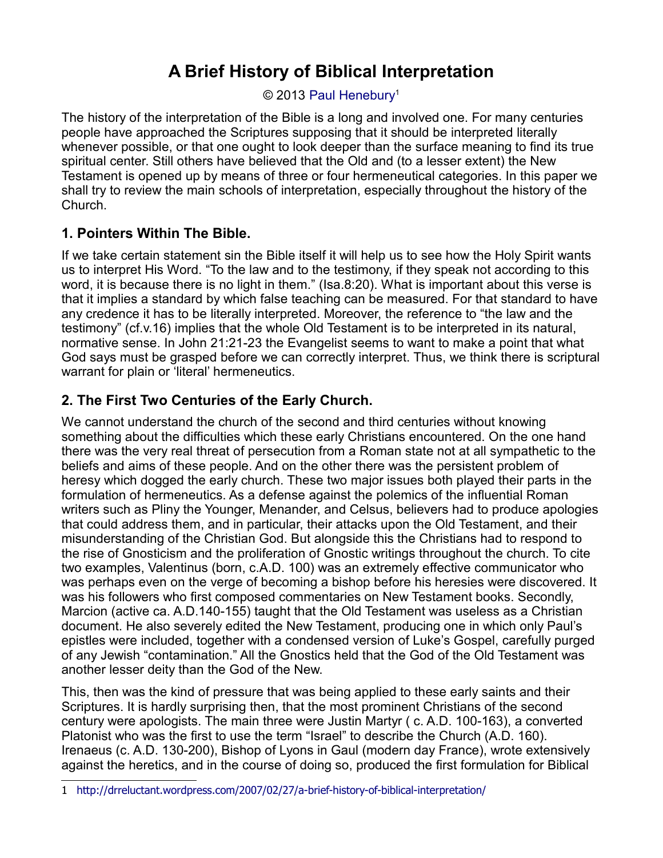### © 2013 [Paul Henebury](http://www.spiritandtruth.org/id/ph.htm)<sup>[1](#page-0-0)</sup>

The history of the interpretation of the Bible is a long and involved one. For many centuries people have approached the Scriptures supposing that it should be interpreted literally whenever possible, or that one ought to look deeper than the surface meaning to find its true spiritual center. Still others have believed that the Old and (to a lesser extent) the New Testament is opened up by means of three or four hermeneutical categories. In this paper we shall try to review the main schools of interpretation, especially throughout the history of the Church.

### **1. Pointers Within The Bible.**

If we take certain statement sin the Bible itself it will help us to see how the Holy Spirit wants us to interpret His Word. "To the law and to the testimony, if they speak not according to this word, it is because there is no light in them." (Isa.8:20). What is important about this verse is that it implies a standard by which false teaching can be measured. For that standard to have any credence it has to be literally interpreted. Moreover, the reference to "the law and the testimony" (cf.v.16) implies that the whole Old Testament is to be interpreted in its natural, normative sense. In John 21:21-23 the Evangelist seems to want to make a point that what God says must be grasped before we can correctly interpret. Thus, we think there is scriptural warrant for plain or 'literal' hermeneutics.

# **2. The First Two Centuries of the Early Church.**

We cannot understand the church of the second and third centuries without knowing something about the difficulties which these early Christians encountered. On the one hand there was the very real threat of persecution from a Roman state not at all sympathetic to the beliefs and aims of these people. And on the other there was the persistent problem of heresy which dogged the early church. These two major issues both played their parts in the formulation of hermeneutics. As a defense against the polemics of the influential Roman writers such as Pliny the Younger, Menander, and Celsus, believers had to produce apologies that could address them, and in particular, their attacks upon the Old Testament, and their misunderstanding of the Christian God. But alongside this the Christians had to respond to the rise of Gnosticism and the proliferation of Gnostic writings throughout the church. To cite two examples, Valentinus (born, c.A.D. 100) was an extremely effective communicator who was perhaps even on the verge of becoming a bishop before his heresies were discovered. It was his followers who first composed commentaries on New Testament books. Secondly, Marcion (active ca. A.D.140-155) taught that the Old Testament was useless as a Christian document. He also severely edited the New Testament, producing one in which only Paul's epistles were included, together with a condensed version of Luke's Gospel, carefully purged of any Jewish "contamination." All the Gnostics held that the God of the Old Testament was another lesser deity than the God of the New.

This, then was the kind of pressure that was being applied to these early saints and their Scriptures. It is hardly surprising then, that the most prominent Christians of the second century were apologists. The main three were Justin Martyr ( c. A.D. 100-163), a converted Platonist who was the first to use the term "Israel" to describe the Church (A.D. 160). Irenaeus (c. A.D. 130-200), Bishop of Lyons in Gaul (modern day France), wrote extensively against the heretics, and in the course of doing so, produced the first formulation for Biblical

<span id="page-0-0"></span><sup>1</sup> <http://drreluctant.wordpress.com/2007/02/27/a-brief-history-of-biblical-interpretation/>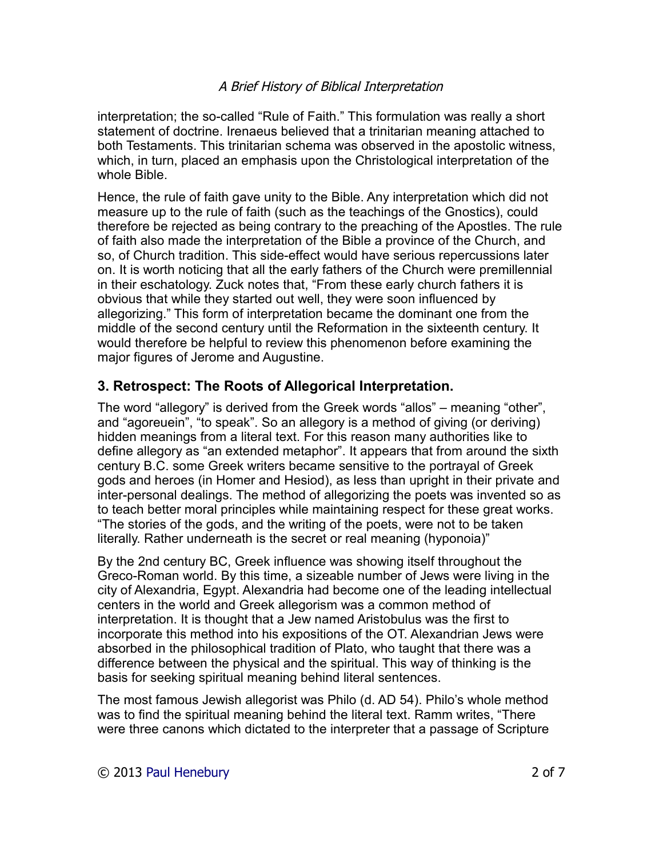interpretation; the so-called "Rule of Faith." This formulation was really a short statement of doctrine. Irenaeus believed that a trinitarian meaning attached to both Testaments. This trinitarian schema was observed in the apostolic witness, which, in turn, placed an emphasis upon the Christological interpretation of the whole Bible.

Hence, the rule of faith gave unity to the Bible. Any interpretation which did not measure up to the rule of faith (such as the teachings of the Gnostics), could therefore be rejected as being contrary to the preaching of the Apostles. The rule of faith also made the interpretation of the Bible a province of the Church, and so, of Church tradition. This side-effect would have serious repercussions later on. It is worth noticing that all the early fathers of the Church were premillennial in their eschatology. Zuck notes that, "From these early church fathers it is obvious that while they started out well, they were soon influenced by allegorizing." This form of interpretation became the dominant one from the middle of the second century until the Reformation in the sixteenth century. It would therefore be helpful to review this phenomenon before examining the major figures of Jerome and Augustine.

### **3. Retrospect: The Roots of Allegorical Interpretation.**

The word "allegory" is derived from the Greek words "allos" – meaning "other", and "agoreuein", "to speak". So an allegory is a method of giving (or deriving) hidden meanings from a literal text. For this reason many authorities like to define allegory as "an extended metaphor". It appears that from around the sixth century B.C. some Greek writers became sensitive to the portrayal of Greek gods and heroes (in Homer and Hesiod), as less than upright in their private and inter-personal dealings. The method of allegorizing the poets was invented so as to teach better moral principles while maintaining respect for these great works. "The stories of the gods, and the writing of the poets, were not to be taken literally. Rather underneath is the secret or real meaning (hyponoia)"

By the 2nd century BC, Greek influence was showing itself throughout the Greco-Roman world. By this time, a sizeable number of Jews were living in the city of Alexandria, Egypt. Alexandria had become one of the leading intellectual centers in the world and Greek allegorism was a common method of interpretation. It is thought that a Jew named Aristobulus was the first to incorporate this method into his expositions of the OT. Alexandrian Jews were absorbed in the philosophical tradition of Plato, who taught that there was a difference between the physical and the spiritual. This way of thinking is the basis for seeking spiritual meaning behind literal sentences.

The most famous Jewish allegorist was Philo (d. AD 54). Philo's whole method was to find the spiritual meaning behind the literal text. Ramm writes, "There were three canons which dictated to the interpreter that a passage of Scripture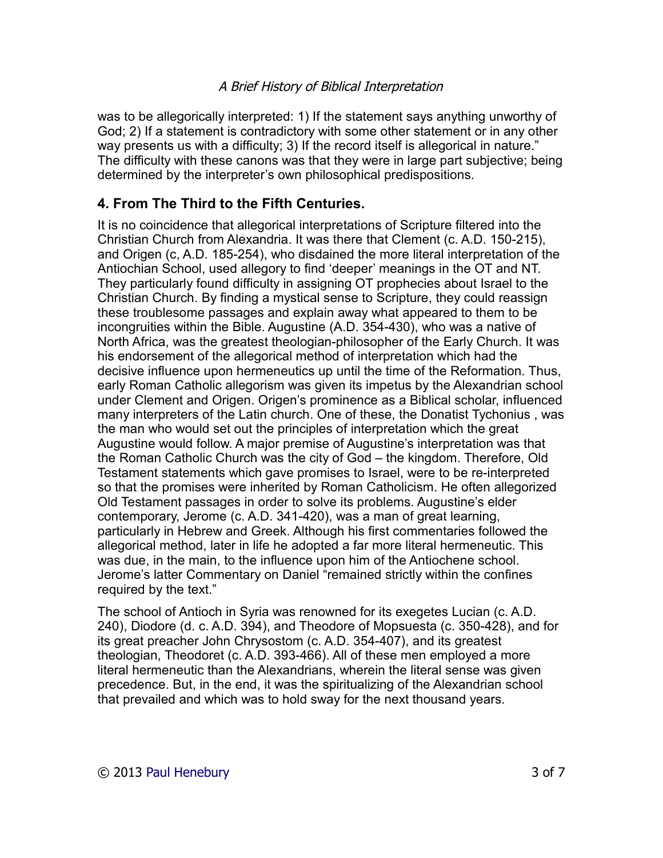was to be allegorically interpreted: 1) If the statement says anything unworthy of God; 2) If a statement is contradictory with some other statement or in any other way presents us with a difficulty; 3) If the record itself is allegorical in nature." The difficulty with these canons was that they were in large part subjective; being determined by the interpreter's own philosophical predispositions.

### **4. From The Third to the Fifth Centuries.**

It is no coincidence that allegorical interpretations of Scripture filtered into the Christian Church from Alexandria. It was there that Clement (c. A.D. 150-215), and Origen (c, A.D. 185-254), who disdained the more literal interpretation of the Antiochian School, used allegory to find 'deeper' meanings in the OT and NT. They particularly found difficulty in assigning OT prophecies about Israel to the Christian Church. By finding a mystical sense to Scripture, they could reassign these troublesome passages and explain away what appeared to them to be incongruities within the Bible. Augustine (A.D. 354-430), who was a native of North Africa, was the greatest theologian-philosopher of the Early Church. It was his endorsement of the allegorical method of interpretation which had the decisive influence upon hermeneutics up until the time of the Reformation. Thus, early Roman Catholic allegorism was given its impetus by the Alexandrian school under Clement and Origen. Origen's prominence as a Biblical scholar, influenced many interpreters of the Latin church. One of these, the Donatist Tychonius , was the man who would set out the principles of interpretation which the great Augustine would follow. A major premise of Augustine's interpretation was that the Roman Catholic Church was the city of God – the kingdom. Therefore, Old Testament statements which gave promises to Israel, were to be re-interpreted so that the promises were inherited by Roman Catholicism. He often allegorized Old Testament passages in order to solve its problems. Augustine's elder contemporary, Jerome (c. A.D. 341-420), was a man of great learning, particularly in Hebrew and Greek. Although his first commentaries followed the allegorical method, later in life he adopted a far more literal hermeneutic. This was due, in the main, to the influence upon him of the Antiochene school. Jerome's latter Commentary on Daniel "remained strictly within the confines required by the text."

The school of Antioch in Syria was renowned for its exegetes Lucian (c. A.D. 240), Diodore (d. c. A.D. 394), and Theodore of Mopsuesta (c. 350-428), and for its great preacher John Chrysostom (c. A.D. 354-407), and its greatest theologian, Theodoret (c. A.D. 393-466). All of these men employed a more literal hermeneutic than the Alexandrians, wherein the literal sense was given precedence. But, in the end, it was the spiritualizing of the Alexandrian school that prevailed and which was to hold sway for the next thousand years.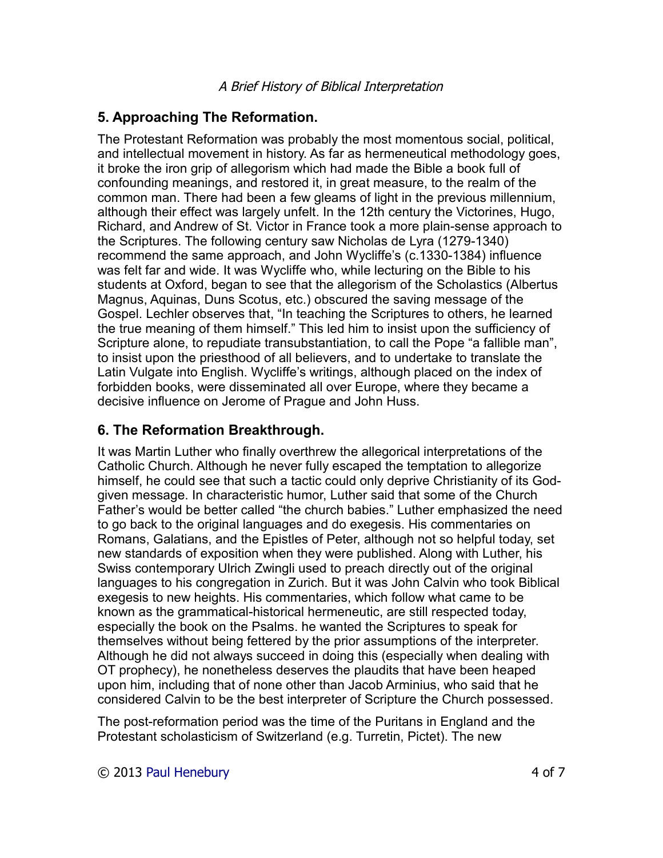# **5. Approaching The Reformation.**

The Protestant Reformation was probably the most momentous social, political, and intellectual movement in history. As far as hermeneutical methodology goes, it broke the iron grip of allegorism which had made the Bible a book full of confounding meanings, and restored it, in great measure, to the realm of the common man. There had been a few gleams of light in the previous millennium, although their effect was largely unfelt. In the 12th century the Victorines, Hugo, Richard, and Andrew of St. Victor in France took a more plain-sense approach to the Scriptures. The following century saw Nicholas de Lyra (1279-1340) recommend the same approach, and John Wycliffe's (c.1330-1384) influence was felt far and wide. It was Wycliffe who, while lecturing on the Bible to his students at Oxford, began to see that the allegorism of the Scholastics (Albertus Magnus, Aquinas, Duns Scotus, etc.) obscured the saving message of the Gospel. Lechler observes that, "In teaching the Scriptures to others, he learned the true meaning of them himself." This led him to insist upon the sufficiency of Scripture alone, to repudiate transubstantiation, to call the Pope "a fallible man", to insist upon the priesthood of all believers, and to undertake to translate the Latin Vulgate into English. Wycliffe's writings, although placed on the index of forbidden books, were disseminated all over Europe, where they became a decisive influence on Jerome of Prague and John Huss.

## **6. The Reformation Breakthrough.**

It was Martin Luther who finally overthrew the allegorical interpretations of the Catholic Church. Although he never fully escaped the temptation to allegorize himself, he could see that such a tactic could only deprive Christianity of its Godgiven message. In characteristic humor, Luther said that some of the Church Father's would be better called "the church babies." Luther emphasized the need to go back to the original languages and do exegesis. His commentaries on Romans, Galatians, and the Epistles of Peter, although not so helpful today, set new standards of exposition when they were published. Along with Luther, his Swiss contemporary Ulrich Zwingli used to preach directly out of the original languages to his congregation in Zurich. But it was John Calvin who took Biblical exegesis to new heights. His commentaries, which follow what came to be known as the grammatical-historical hermeneutic, are still respected today, especially the book on the Psalms. he wanted the Scriptures to speak for themselves without being fettered by the prior assumptions of the interpreter. Although he did not always succeed in doing this (especially when dealing with OT prophecy), he nonetheless deserves the plaudits that have been heaped upon him, including that of none other than Jacob Arminius, who said that he considered Calvin to be the best interpreter of Scripture the Church possessed.

The post-reformation period was the time of the Puritans in England and the Protestant scholasticism of Switzerland (e.g. Turretin, Pictet). The new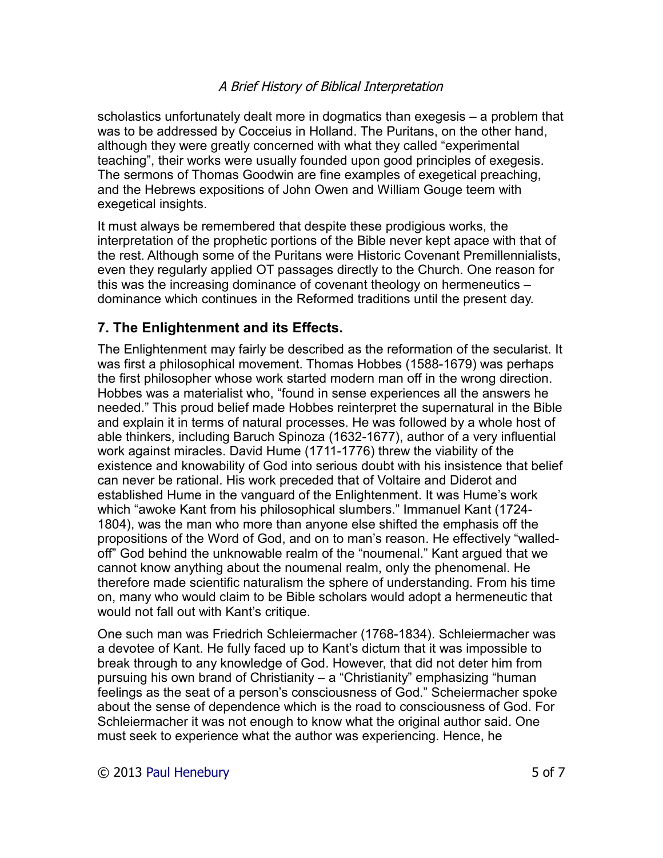scholastics unfortunately dealt more in dogmatics than exegesis – a problem that was to be addressed by Cocceius in Holland. The Puritans, on the other hand, although they were greatly concerned with what they called "experimental teaching", their works were usually founded upon good principles of exegesis. The sermons of Thomas Goodwin are fine examples of exegetical preaching, and the Hebrews expositions of John Owen and William Gouge teem with exegetical insights.

It must always be remembered that despite these prodigious works, the interpretation of the prophetic portions of the Bible never kept apace with that of the rest. Although some of the Puritans were Historic Covenant Premillennialists, even they regularly applied OT passages directly to the Church. One reason for this was the increasing dominance of covenant theology on hermeneutics – dominance which continues in the Reformed traditions until the present day.

### **7. The Enlightenment and its Effects.**

The Enlightenment may fairly be described as the reformation of the secularist. It was first a philosophical movement. Thomas Hobbes (1588-1679) was perhaps the first philosopher whose work started modern man off in the wrong direction. Hobbes was a materialist who, "found in sense experiences all the answers he needed." This proud belief made Hobbes reinterpret the supernatural in the Bible and explain it in terms of natural processes. He was followed by a whole host of able thinkers, including Baruch Spinoza (1632-1677), author of a very influential work against miracles. David Hume (1711-1776) threw the viability of the existence and knowability of God into serious doubt with his insistence that belief can never be rational. His work preceded that of Voltaire and Diderot and established Hume in the vanguard of the Enlightenment. It was Hume's work which "awoke Kant from his philosophical slumbers." Immanuel Kant (1724- 1804), was the man who more than anyone else shifted the emphasis off the propositions of the Word of God, and on to man's reason. He effectively "walledoff" God behind the unknowable realm of the "noumenal." Kant argued that we cannot know anything about the noumenal realm, only the phenomenal. He therefore made scientific naturalism the sphere of understanding. From his time on, many who would claim to be Bible scholars would adopt a hermeneutic that would not fall out with Kant's critique.

One such man was Friedrich Schleiermacher (1768-1834). Schleiermacher was a devotee of Kant. He fully faced up to Kant's dictum that it was impossible to break through to any knowledge of God. However, that did not deter him from pursuing his own brand of Christianity – a "Christianity" emphasizing "human feelings as the seat of a person's consciousness of God." Scheiermacher spoke about the sense of dependence which is the road to consciousness of God. For Schleiermacher it was not enough to know what the original author said. One must seek to experience what the author was experiencing. Hence, he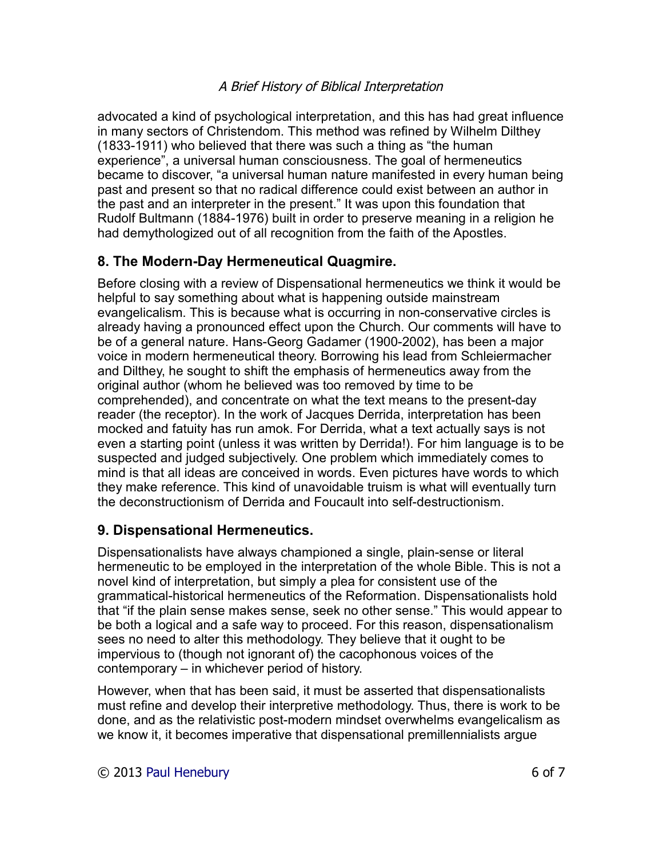advocated a kind of psychological interpretation, and this has had great influence in many sectors of Christendom. This method was refined by Wilhelm Dilthey (1833-1911) who believed that there was such a thing as "the human experience", a universal human consciousness. The goal of hermeneutics became to discover, "a universal human nature manifested in every human being past and present so that no radical difference could exist between an author in the past and an interpreter in the present." It was upon this foundation that Rudolf Bultmann (1884-1976) built in order to preserve meaning in a religion he had demythologized out of all recognition from the faith of the Apostles.

# **8. The Modern-Day Hermeneutical Quagmire.**

Before closing with a review of Dispensational hermeneutics we think it would be helpful to say something about what is happening outside mainstream evangelicalism. This is because what is occurring in non-conservative circles is already having a pronounced effect upon the Church. Our comments will have to be of a general nature. Hans-Georg Gadamer (1900-2002), has been a major voice in modern hermeneutical theory. Borrowing his lead from Schleiermacher and Dilthey, he sought to shift the emphasis of hermeneutics away from the original author (whom he believed was too removed by time to be comprehended), and concentrate on what the text means to the present-day reader (the receptor). In the work of Jacques Derrida, interpretation has been mocked and fatuity has run amok. For Derrida, what a text actually says is not even a starting point (unless it was written by Derrida!). For him language is to be suspected and judged subjectively. One problem which immediately comes to mind is that all ideas are conceived in words. Even pictures have words to which they make reference. This kind of unavoidable truism is what will eventually turn the deconstructionism of Derrida and Foucault into self-destructionism.

### **9. Dispensational Hermeneutics.**

Dispensationalists have always championed a single, plain-sense or literal hermeneutic to be employed in the interpretation of the whole Bible. This is not a novel kind of interpretation, but simply a plea for consistent use of the grammatical-historical hermeneutics of the Reformation. Dispensationalists hold that "if the plain sense makes sense, seek no other sense." This would appear to be both a logical and a safe way to proceed. For this reason, dispensationalism sees no need to alter this methodology. They believe that it ought to be impervious to (though not ignorant of) the cacophonous voices of the contemporary – in whichever period of history.

However, when that has been said, it must be asserted that dispensationalists must refine and develop their interpretive methodology. Thus, there is work to be done, and as the relativistic post-modern mindset overwhelms evangelicalism as we know it, it becomes imperative that dispensational premillennialists argue